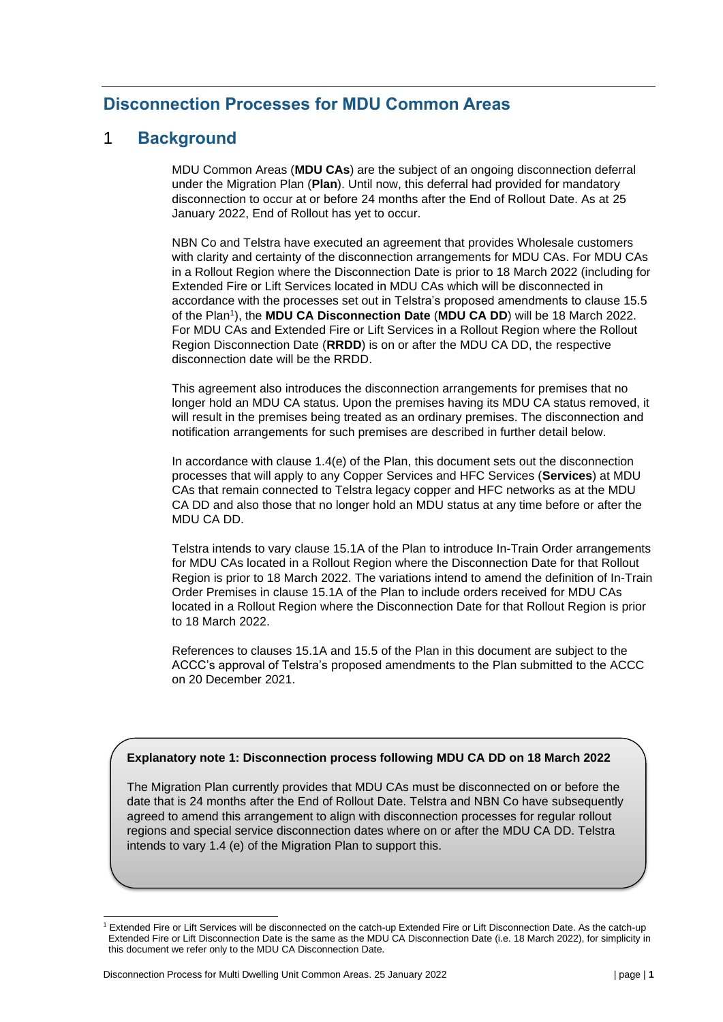# **Disconnection Processes for MDU Common Areas**

# 1 **Background**

MDU Common Areas (**MDU CAs**) are the subject of an ongoing disconnection deferral under the Migration Plan (**Plan**). Until now, this deferral had provided for mandatory disconnection to occur at or before 24 months after the End of Rollout Date. As at 25 January 2022, End of Rollout has yet to occur.

NBN Co and Telstra have executed an agreement that provides Wholesale customers with clarity and certainty of the disconnection arrangements for MDU CAs. For MDU CAs in a Rollout Region where the Disconnection Date is prior to 18 March 2022 (including for Extended Fire or Lift Services located in MDU CAs which will be disconnected in accordance with the processes set out in Telstra's proposed amendments to clause 15.5 of the Plan<sup>1</sup> ), the **MDU CA Disconnection Date** (**MDU CA DD**) will be 18 March 2022. For MDU CAs and Extended Fire or Lift Services in a Rollout Region where the Rollout Region Disconnection Date (**RRDD**) is on or after the MDU CA DD, the respective disconnection date will be the RRDD.

This agreement also introduces the disconnection arrangements for premises that no longer hold an MDU CA status. Upon the premises having its MDU CA status removed, it will result in the premises being treated as an ordinary premises. The disconnection and notification arrangements for such premises are described in further detail below.

In accordance with clause 1.4(e) of the Plan, this document sets out the disconnection processes that will apply to any Copper Services and HFC Services (**Services**) at MDU CAs that remain connected to Telstra legacy copper and HFC networks as at the MDU CA DD and also those that no longer hold an MDU status at any time before or after the MDU CA DD.

Telstra intends to vary clause 15.1A of the Plan to introduce In-Train Order arrangements for MDU CAs located in a Rollout Region where the Disconnection Date for that Rollout Region is prior to 18 March 2022. The variations intend to amend the definition of In-Train Order Premises in clause 15.1A of the Plan to include orders received for MDU CAs located in a Rollout Region where the Disconnection Date for that Rollout Region is prior to 18 March 2022.

References to clauses 15.1A and 15.5 of the Plan in this document are subject to the ACCC's approval of Telstra's proposed amendments to the Plan submitted to the ACCC on 20 December 2021.

### **Explanatory note 1: Disconnection process following MDU CA DD on 18 March 2022**

The Migration Plan currently provides that MDU CAs must be disconnected on or before the date that is 24 months after the End of Rollout Date. Telstra and NBN Co have subsequently agreed to amend this arrangement to align with disconnection processes for regular rollout regions and special service disconnection dates where on or after the MDU CA DD. Telstra intends to vary 1.4 (e) of the Migration Plan to support this.

<sup>1</sup> Extended Fire or Lift Services will be disconnected on the catch-up Extended Fire or Lift Disconnection Date. As the catch-up Extended Fire or Lift Disconnection Date is the same as the MDU CA Disconnection Date (i.e. 18 March 2022), for simplicity in this document we refer only to the MDU CA Disconnection Date.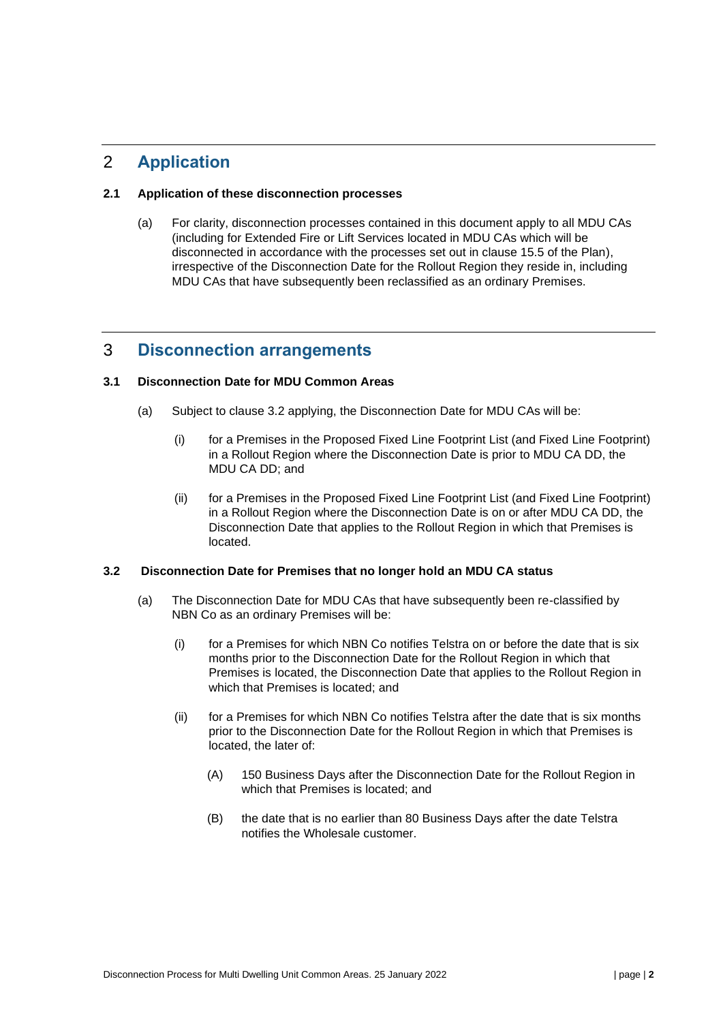# 2 **Application**

### **2.1 Application of these disconnection processes**

(a) For clarity, disconnection processes contained in this document apply to all MDU CAs (including for Extended Fire or Lift Services located in MDU CAs which will be disconnected in accordance with the processes set out in clause 15.5 of the Plan), irrespective of the Disconnection Date for the Rollout Region they reside in, including MDU CAs that have subsequently been reclassified as an ordinary Premises.

# 3 **Disconnection arrangements**

### **3.1 Disconnection Date for MDU Common Areas**

- (a) Subject to clause 3.2 applying, the Disconnection Date for MDU CAs will be:
	- (i) for a Premises in the Proposed Fixed Line Footprint List (and Fixed Line Footprint) in a Rollout Region where the Disconnection Date is prior to MDU CA DD, the MDU CA DD; and
	- (ii) for a Premises in the Proposed Fixed Line Footprint List (and Fixed Line Footprint) in a Rollout Region where the Disconnection Date is on or after MDU CA DD, the Disconnection Date that applies to the Rollout Region in which that Premises is located.

#### **3.2 Disconnection Date for Premises that no longer hold an MDU CA status**

- (a) The Disconnection Date for MDU CAs that have subsequently been re-classified by NBN Co as an ordinary Premises will be:
	- (i) for a Premises for which NBN Co notifies Telstra on or before the date that is six months prior to the Disconnection Date for the Rollout Region in which that Premises is located, the Disconnection Date that applies to the Rollout Region in which that Premises is located; and
	- (ii) for a Premises for which NBN Co notifies Telstra after the date that is six months prior to the Disconnection Date for the Rollout Region in which that Premises is located, the later of:
		- (A) 150 Business Days after the Disconnection Date for the Rollout Region in which that Premises is located; and
		- (B) the date that is no earlier than 80 Business Days after the date Telstra notifies the Wholesale customer.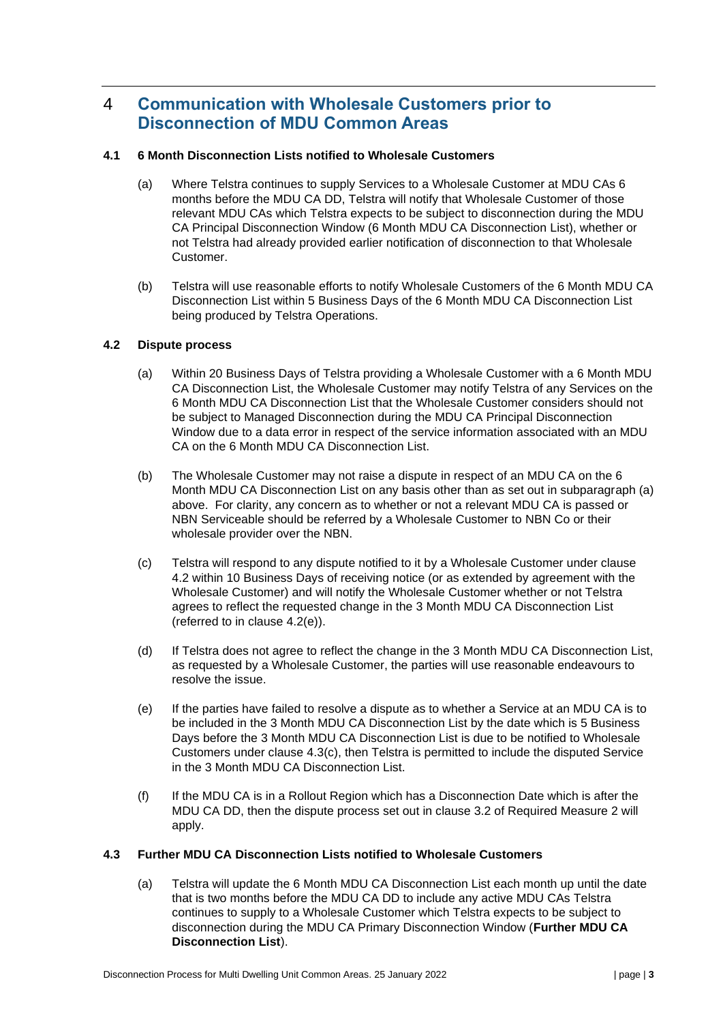# 4 **Communication with Wholesale Customers prior to Disconnection of MDU Common Areas**

### **4.1 6 Month Disconnection Lists notified to Wholesale Customers**

- (a) Where Telstra continues to supply Services to a Wholesale Customer at MDU CAs 6 months before the MDU CA DD, Telstra will notify that Wholesale Customer of those relevant MDU CAs which Telstra expects to be subject to disconnection during the MDU CA Principal Disconnection Window (6 Month MDU CA Disconnection List), whether or not Telstra had already provided earlier notification of disconnection to that Wholesale Customer.
- (b) Telstra will use reasonable efforts to notify Wholesale Customers of the 6 Month MDU CA Disconnection List within 5 Business Days of the 6 Month MDU CA Disconnection List being produced by Telstra Operations.

### **4.2 Dispute process**

- (a) Within 20 Business Days of Telstra providing a Wholesale Customer with a 6 Month MDU CA Disconnection List, the Wholesale Customer may notify Telstra of any Services on the 6 Month MDU CA Disconnection List that the Wholesale Customer considers should not be subject to Managed Disconnection during the MDU CA Principal Disconnection Window due to a data error in respect of the service information associated with an MDU CA on the 6 Month MDU CA Disconnection List.
- (b) The Wholesale Customer may not raise a dispute in respect of an MDU CA on the 6 Month MDU CA Disconnection List on any basis other than as set out in subparagraph (a) above. For clarity, any concern as to whether or not a relevant MDU CA is passed or NBN Serviceable should be referred by a Wholesale Customer to NBN Co or their wholesale provider over the NBN.
- (c) Telstra will respond to any dispute notified to it by a Wholesale Customer under clause 4.2 within 10 Business Days of receiving notice (or as extended by agreement with the Wholesale Customer) and will notify the Wholesale Customer whether or not Telstra agrees to reflect the requested change in the 3 Month MDU CA Disconnection List (referred to in clause 4.2(e)).
- (d) If Telstra does not agree to reflect the change in the 3 Month MDU CA Disconnection List, as requested by a Wholesale Customer, the parties will use reasonable endeavours to resolve the issue.
- (e) If the parties have failed to resolve a dispute as to whether a Service at an MDU CA is to be included in the 3 Month MDU CA Disconnection List by the date which is 5 Business Days before the 3 Month MDU CA Disconnection List is due to be notified to Wholesale Customers under clause [4.3\(c\),](#page-3-0) then Telstra is permitted to include the disputed Service in the 3 Month MDU CA Disconnection List.
- (f) If the MDU CA is in a Rollout Region which has a Disconnection Date which is after the MDU CA DD, then the dispute process set out in clause 3.2 of Required Measure 2 will apply.

### **4.3 Further MDU CA Disconnection Lists notified to Wholesale Customers**

(a) Telstra will update the 6 Month MDU CA Disconnection List each month up until the date that is two months before the MDU CA DD to include any active MDU CAs Telstra continues to supply to a Wholesale Customer which Telstra expects to be subject to disconnection during the MDU CA Primary Disconnection Window (**Further MDU CA Disconnection List**).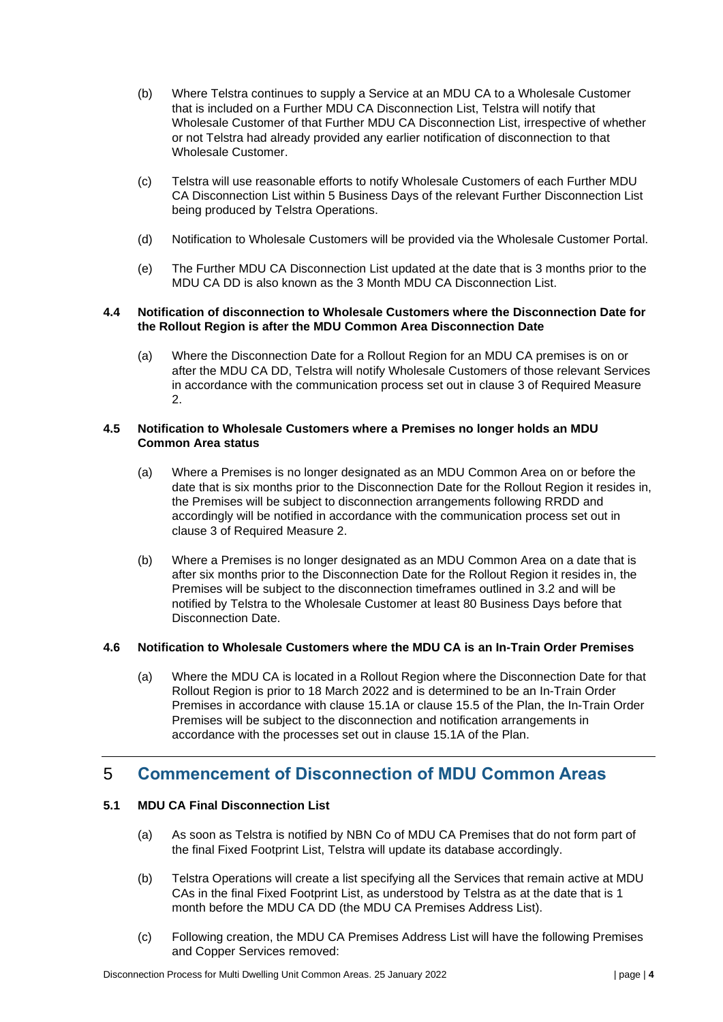- (b) Where Telstra continues to supply a Service at an MDU CA to a Wholesale Customer that is included on a Further MDU CA Disconnection List, Telstra will notify that Wholesale Customer of that Further MDU CA Disconnection List, irrespective of whether or not Telstra had already provided any earlier notification of disconnection to that Wholesale Customer.
- <span id="page-3-0"></span>(c) Telstra will use reasonable efforts to notify Wholesale Customers of each Further MDU CA Disconnection List within 5 Business Days of the relevant Further Disconnection List being produced by Telstra Operations.
- (d) Notification to Wholesale Customers will be provided via the Wholesale Customer Portal.
- (e) The Further MDU CA Disconnection List updated at the date that is 3 months prior to the MDU CA DD is also known as the 3 Month MDU CA Disconnection List.

#### **4.4 Notification of disconnection to Wholesale Customers where the Disconnection Date for the Rollout Region is after the MDU Common Area Disconnection Date**

(a) Where the Disconnection Date for a Rollout Region for an MDU CA premises is on or after the MDU CA DD, Telstra will notify Wholesale Customers of those relevant Services in accordance with the communication process set out in clause 3 of Required Measure 2.

### **4.5 Notification to Wholesale Customers where a Premises no longer holds an MDU Common Area status**

- (a) Where a Premises is no longer designated as an MDU Common Area on or before the date that is six months prior to the Disconnection Date for the Rollout Region it resides in, the Premises will be subject to disconnection arrangements following RRDD and accordingly will be notified in accordance with the communication process set out in clause 3 of Required Measure 2.
- (b) Where a Premises is no longer designated as an MDU Common Area on a date that is after six months prior to the Disconnection Date for the Rollout Region it resides in, the Premises will be subject to the disconnection timeframes outlined in 3.2 and will be notified by Telstra to the Wholesale Customer at least 80 Business Days before that Disconnection Date.

### **4.6 Notification to Wholesale Customers where the MDU CA is an In-Train Order Premises**

(a) Where the MDU CA is located in a Rollout Region where the Disconnection Date for that Rollout Region is prior to 18 March 2022 and is determined to be an In-Train Order Premises in accordance with clause 15.1A or clause 15.5 of the Plan, the In-Train Order Premises will be subject to the disconnection and notification arrangements in accordance with the processes set out in clause 15.1A of the Plan.

# 5 **Commencement of Disconnection of MDU Common Areas**

# **5.1 MDU CA Final Disconnection List**

- (a) As soon as Telstra is notified by NBN Co of MDU CA Premises that do not form part of the final Fixed Footprint List, Telstra will update its database accordingly.
- (b) Telstra Operations will create a list specifying all the Services that remain active at MDU CAs in the final Fixed Footprint List, as understood by Telstra as at the date that is 1 month before the MDU CA DD (the MDU CA Premises Address List).
- (c) Following creation, the MDU CA Premises Address List will have the following Premises and Copper Services removed: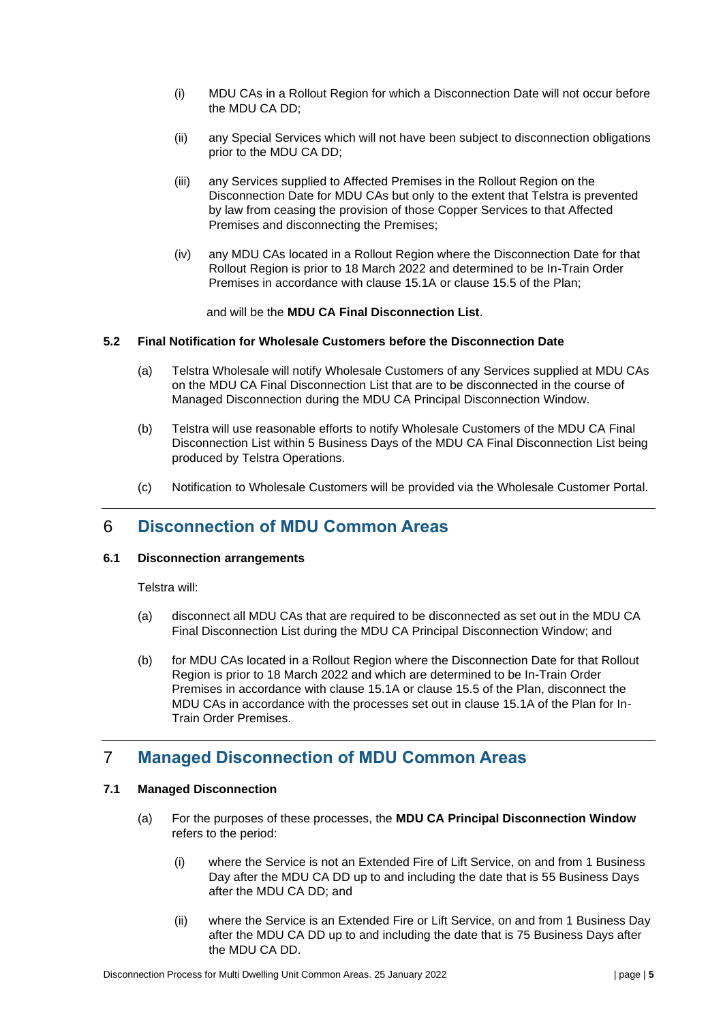- (i) MDU CAs in a Rollout Region for which a Disconnection Date will not occur before the MDU CA DD;
- (ii) any Special Services which will not have been subject to disconnection obligations prior to the MDU CA DD;
- (iii) any Services supplied to Affected Premises in the Rollout Region on the Disconnection Date for MDU CAs but only to the extent that Telstra is prevented by law from ceasing the provision of those Copper Services to that Affected Premises and disconnecting the Premises;
- (iv) any MDU CAs located in a Rollout Region where the Disconnection Date for that Rollout Region is prior to 18 March 2022 and determined to be In-Train Order Premises in accordance with clause 15.1A or clause 15.5 of the Plan;

and will be the **MDU CA Final Disconnection List**.

#### **5.2 Final Notification for Wholesale Customers before the Disconnection Date**

- (a) Telstra Wholesale will notify Wholesale Customers of any Services supplied at MDU CAs on the MDU CA Final Disconnection List that are to be disconnected in the course of Managed Disconnection during the MDU CA Principal Disconnection Window.
- (b) Telstra will use reasonable efforts to notify Wholesale Customers of the MDU CA Final Disconnection List within 5 Business Days of the MDU CA Final Disconnection List being produced by Telstra Operations.
- (c) Notification to Wholesale Customers will be provided via the Wholesale Customer Portal.

# 6 **Disconnection of MDU Common Areas**

### **6.1 Disconnection arrangements**

Telstra will:

- (a) disconnect all MDU CAs that are required to be disconnected as set out in the MDU CA Final Disconnection List during the MDU CA Principal Disconnection Window; and
- (b) for MDU CAs located in a Rollout Region where the Disconnection Date for that Rollout Region is prior to 18 March 2022 and which are determined to be In-Train Order Premises in accordance with clause 15.1A or clause 15.5 of the Plan, disconnect the MDU CAs in accordance with the processes set out in clause 15.1A of the Plan for In-Train Order Premises.

# 7 **Managed Disconnection of MDU Common Areas**

# **7.1 Managed Disconnection**

- (a) For the purposes of these processes, the **MDU CA Principal Disconnection Window**  refers to the period:
	- (i) where the Service is not an Extended Fire of Lift Service, on and from 1 Business Day after the MDU CA DD up to and including the date that is 55 Business Days after the MDU CA DD; and
	- (ii) where the Service is an Extended Fire or Lift Service, on and from 1 Business Day after the MDU CA DD up to and including the date that is 75 Business Days after the MDU CA DD.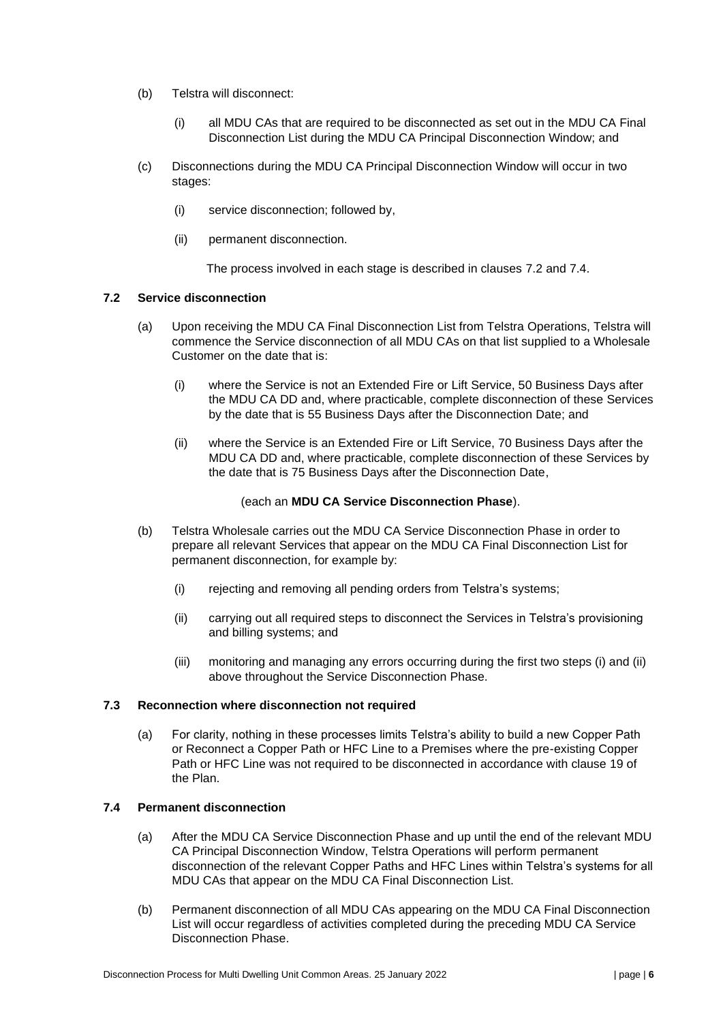- (b) Telstra will disconnect:
	- (i) all MDU CAs that are required to be disconnected as set out in the MDU CA Final Disconnection List during the MDU CA Principal Disconnection Window; and
- (c) Disconnections during the MDU CA Principal Disconnection Window will occur in two stages:
	- (i) service disconnection; followed by,
	- (ii) permanent disconnection.

The process involved in each stage is described in clauses [7.2](#page-5-0) and [7.4.](#page-5-1)

### <span id="page-5-0"></span>**7.2 Service disconnection**

- (a) Upon receiving the MDU CA Final Disconnection List from Telstra Operations, Telstra will commence the Service disconnection of all MDU CAs on that list supplied to a Wholesale Customer on the date that is:
	- (i) where the Service is not an Extended Fire or Lift Service, 50 Business Days after the MDU CA DD and, where practicable, complete disconnection of these Services by the date that is 55 Business Days after the Disconnection Date; and
	- (ii) where the Service is an Extended Fire or Lift Service, 70 Business Days after the MDU CA DD and, where practicable, complete disconnection of these Services by the date that is 75 Business Days after the Disconnection Date,

#### (each an **MDU CA Service Disconnection Phase**).

- (b) Telstra Wholesale carries out the MDU CA Service Disconnection Phase in order to prepare all relevant Services that appear on the MDU CA Final Disconnection List for permanent disconnection, for example by:
	- (i) rejecting and removing all pending orders from Telstra's systems;
	- (ii) carrying out all required steps to disconnect the Services in Telstra's provisioning and billing systems; and
	- (iii) monitoring and managing any errors occurring during the first two steps (i) and (ii) above throughout the Service Disconnection Phase.

#### **7.3 Reconnection where disconnection not required**

(a) For clarity, nothing in these processes limits Telstra's ability to build a new Copper Path or Reconnect a Copper Path or HFC Line to a Premises where the pre-existing Copper Path or HFC Line was not required to be disconnected in accordance with clause 19 of the Plan.

#### <span id="page-5-1"></span>**7.4 Permanent disconnection**

- (a) After the MDU CA Service Disconnection Phase and up until the end of the relevant MDU CA Principal Disconnection Window, Telstra Operations will perform permanent disconnection of the relevant Copper Paths and HFC Lines within Telstra's systems for all MDU CAs that appear on the MDU CA Final Disconnection List.
- (b) Permanent disconnection of all MDU CAs appearing on the MDU CA Final Disconnection List will occur regardless of activities completed during the preceding MDU CA Service Disconnection Phase.